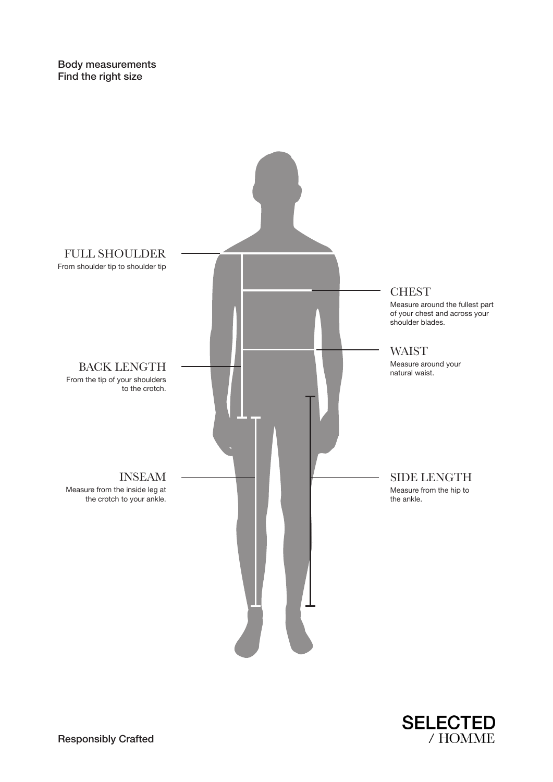

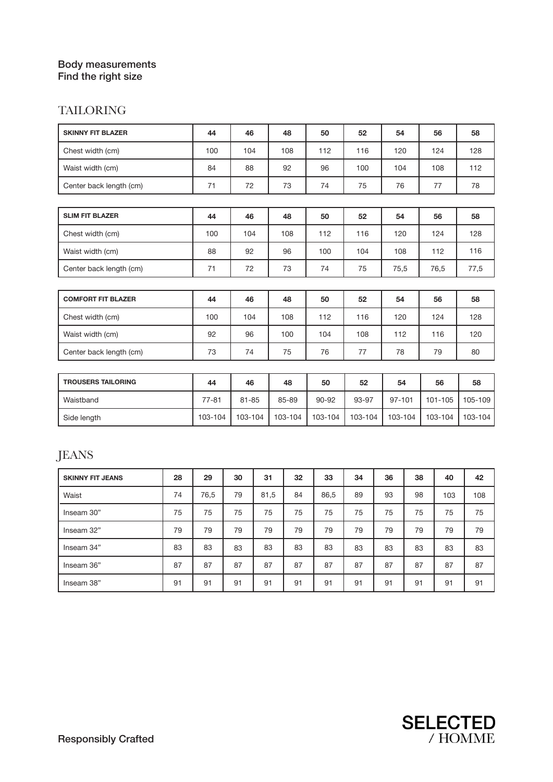## TAILORING

| <b>SKINNY FIT BLAZER</b>  | 44        | 46        | 48      | 50        | 52      | 54      | 56      | 58      |
|---------------------------|-----------|-----------|---------|-----------|---------|---------|---------|---------|
| Chest width (cm)          | 100       | 104       | 108     | 112       | 116     | 120     | 124     | 128     |
| Waist width (cm)          | 84        | 88        | 92      | 96        | 100     | 104     | 108     | 112     |
| Center back length (cm)   | 71        | 72        | 73      | 74        | 75      | 76      | 77      | 78      |
|                           |           |           |         |           |         |         |         |         |
| <b>SLIM FIT BLAZER</b>    | 44        | 46        | 48      | 50        | 52      | 54      | 56      | 58      |
| Chest width (cm)          | 100       | 104       | 108     | 112       | 116     | 120     | 124     | 128     |
| Waist width (cm)          | 88        | 92        | 96      | 100       | 104     | 108     | 112     | 116     |
| Center back length (cm)   | 71        | 72        | 73      | 74        | 75      | 75,5    | 76,5    | 77,5    |
|                           |           |           |         |           |         |         |         |         |
| <b>COMFORT FIT BLAZER</b> | 44        | 46        | 48      | 50        | 52      | 54      | 56      | 58      |
| Chest width (cm)          | 100       | 104       | 108     | 112       | 116     | 120     | 124     | 128     |
| Waist width (cm)          | 92        | 96        | 100     | 104       | 108     | 112     | 116     | 120     |
| Center back length (cm)   | 73        | 74        | 75      | 76        | 77      | 78      | 79      | 80      |
|                           |           |           |         |           |         |         |         |         |
| <b>TROUSERS TAILORING</b> | 44        | 46        | 48      | 50        | 52      | 54      | 56      | 58      |
| Waistband                 | $77 - 81$ | $81 - 85$ | 85-89   | $90 - 92$ | 93-97   | 97-101  | 101-105 | 105-109 |
| Side length               | 103-104   | 103-104   | 103-104 | 103-104   | 103-104 | 103-104 | 103-104 | 103-104 |

# JEANS

| <b>SKINNY FIT JEANS</b> | 28 | 29   | 30 | 31   | 32 | 33   | 34 | 36 | 38 | 40  | 42  |
|-------------------------|----|------|----|------|----|------|----|----|----|-----|-----|
| Waist                   | 74 | 76,5 | 79 | 81,5 | 84 | 86,5 | 89 | 93 | 98 | 103 | 108 |
| Inseam 30"              | 75 | 75   | 75 | 75   | 75 | 75   | 75 | 75 | 75 | 75  | 75  |
| Inseam 32"              | 79 | 79   | 79 | 79   | 79 | 79   | 79 | 79 | 79 | 79  | 79  |
| Inseam 34"              | 83 | 83   | 83 | 83   | 83 | 83   | 83 | 83 | 83 | 83  | 83  |
| Inseam 36"              | 87 | 87   | 87 | 87   | 87 | 87   | 87 | 87 | 87 | 87  | 87  |
| Inseam 38"              | 91 | 91   | 91 | 91   | 91 | 91   | 91 | 91 | 91 | 91  | 91  |

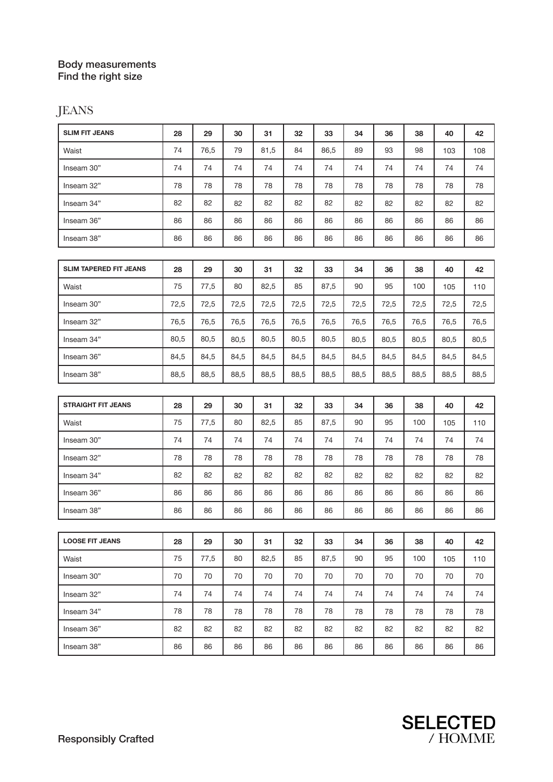# JEANS

| <b>SLIM FIT JEANS</b>         | 28   | 29   | 30   | 31   | 32   | 33   | 34   | 36   | 38   | 40   | 42   |
|-------------------------------|------|------|------|------|------|------|------|------|------|------|------|
| Waist                         | 74   | 76,5 | 79   | 81,5 | 84   | 86,5 | 89   | 93   | 98   | 103  | 108  |
| Inseam 30"                    | 74   | 74   | 74   | 74   | 74   | 74   | 74   | 74   | 74   | 74   | 74   |
| Inseam 32"                    | 78   | 78   | 78   | 78   | 78   | 78   | 78   | 78   | 78   | 78   | 78   |
| Inseam 34"                    | 82   | 82   | 82   | 82   | 82   | 82   | 82   | 82   | 82   | 82   | 82   |
| Inseam 36"                    | 86   | 86   | 86   | 86   | 86   | 86   | 86   | 86   | 86   | 86   | 86   |
| Inseam 38"                    | 86   | 86   | 86   | 86   | 86   | 86   | 86   | 86   | 86   | 86   | 86   |
|                               |      |      |      |      |      |      |      |      |      |      |      |
| <b>SLIM TAPERED FIT JEANS</b> | 28   | 29   | 30   | 31   | 32   | 33   | 34   | 36   | 38   | 40   | 42   |
| Waist                         | 75   | 77,5 | 80   | 82,5 | 85   | 87,5 | 90   | 95   | 100  | 105  | 110  |
| Inseam 30"                    | 72,5 | 72,5 | 72,5 | 72,5 | 72,5 | 72,5 | 72,5 | 72,5 | 72,5 | 72,5 | 72,5 |
| Inseam 32"                    | 76,5 | 76,5 | 76,5 | 76,5 | 76,5 | 76,5 | 76,5 | 76,5 | 76,5 | 76,5 | 76,5 |
| Inseam 34"                    | 80,5 | 80,5 | 80,5 | 80,5 | 80,5 | 80,5 | 80,5 | 80,5 | 80,5 | 80,5 | 80,5 |
| Inseam 36"                    | 84,5 | 84,5 | 84,5 | 84,5 | 84,5 | 84,5 | 84,5 | 84,5 | 84,5 | 84,5 | 84,5 |
| Inseam 38"                    | 88,5 | 88,5 | 88,5 | 88,5 | 88,5 | 88,5 | 88,5 | 88,5 | 88,5 | 88,5 | 88,5 |
|                               |      |      |      |      |      |      |      |      |      |      |      |
|                               |      |      |      |      |      |      |      |      |      |      |      |
| <b>STRAIGHT FIT JEANS</b>     | 28   | 29   | 30   | 31   | 32   | 33   | 34   | 36   | 38   | 40   | 42   |
| Waist                         | 75   | 77,5 | 80   | 82,5 | 85   | 87,5 | 90   | 95   | 100  | 105  | 110  |
| Inseam 30"                    | 74   | 74   | 74   | 74   | 74   | 74   | 74   | 74   | 74   | 74   | 74   |
| Inseam 32"                    | 78   | 78   | 78   | 78   | 78   | 78   | 78   | 78   | 78   | 78   | 78   |
| Inseam 34"                    | 82   | 82   | 82   | 82   | 82   | 82   | 82   | 82   | 82   | 82   | 82   |
| Inseam 36"                    | 86   | 86   | 86   | 86   | 86   | 86   | 86   | 86   | 86   | 86   | 86   |
| Inseam 38"                    | 86   | 86   | 86   | 86   | 86   | 86   | 86   | 86   | 86   | 86   | 86   |
|                               |      |      |      |      |      |      |      |      |      |      |      |
| <b>LOOSE FIT JEANS</b>        | 28   | 29   | 30   | 31   | 32   | 33   | 34   | 36   | 38   | 40   | 42   |
| Waist                         | 75   | 77,5 | 80   | 82,5 | 85   | 87,5 | 90   | 95   | 100  | 105  | 110  |
| Inseam 30"                    | 70   | 70   | 70   | 70   | 70   | 70   | 70   | 70   | 70   | 70   | 70   |
| Inseam 32"                    | 74   | 74   | 74   | 74   | 74   | 74   | 74   | 74   | 74   | 74   | 74   |
| Inseam 34"                    | 78   | 78   | 78   | 78   | 78   | 78   | 78   | 78   | 78   | 78   | 78   |
| Inseam 36"                    | 82   | 82   | 82   | 82   | 82   | 82   | 82   | 82   | 82   | 82   | 82   |

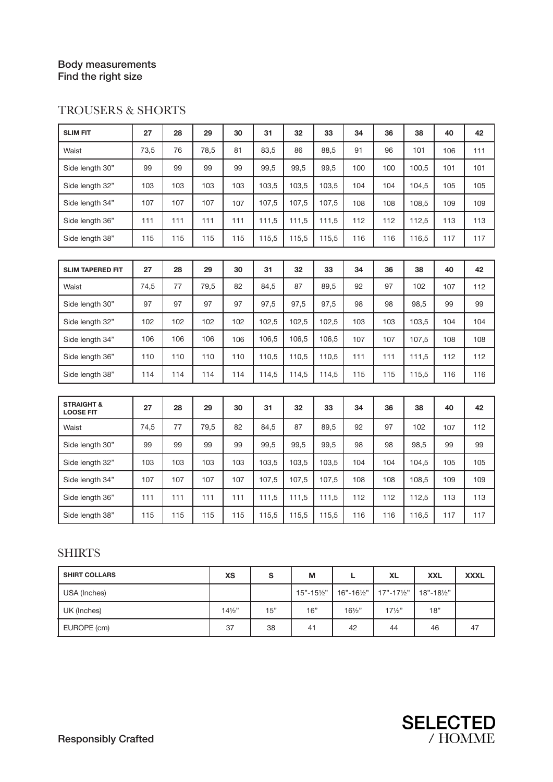## TROUSERS & SHORTS

| <b>SLIM FIT</b>                           | 27   | 28  | 29   | 30  | 31    | 32    | 33    | 34  | 36  | 38    | 40  | 42  |
|-------------------------------------------|------|-----|------|-----|-------|-------|-------|-----|-----|-------|-----|-----|
| Waist                                     | 73,5 | 76  | 78,5 | 81  | 83,5  | 86    | 88,5  | 91  | 96  | 101   | 106 | 111 |
| Side length 30"                           | 99   | 99  | 99   | 99  | 99,5  | 99,5  | 99,5  | 100 | 100 | 100,5 | 101 | 101 |
| Side length 32"                           | 103  | 103 | 103  | 103 | 103,5 | 103,5 | 103,5 | 104 | 104 | 104,5 | 105 | 105 |
| Side length 34"                           | 107  | 107 | 107  | 107 | 107,5 | 107,5 | 107,5 | 108 | 108 | 108,5 | 109 | 109 |
| Side length 36"                           | 111  | 111 | 111  | 111 | 111,5 | 111,5 | 111,5 | 112 | 112 | 112,5 | 113 | 113 |
| Side length 38"                           | 115  | 115 | 115  | 115 | 115,5 | 115,5 | 115,5 | 116 | 116 | 116,5 | 117 | 117 |
|                                           |      |     |      |     |       |       |       |     |     |       |     |     |
| <b>SLIM TAPERED FIT</b>                   | 27   | 28  | 29   | 30  | 31    | 32    | 33    | 34  | 36  | 38    | 40  | 42  |
| Waist                                     | 74,5 | 77  | 79,5 | 82  | 84,5  | 87    | 89,5  | 92  | 97  | 102   | 107 | 112 |
| Side length 30"                           | 97   | 97  | 97   | 97  | 97,5  | 97,5  | 97,5  | 98  | 98  | 98,5  | 99  | 99  |
| Side length 32"                           | 102  | 102 | 102  | 102 | 102,5 | 102,5 | 102,5 | 103 | 103 | 103,5 | 104 | 104 |
| Side length 34"                           | 106  | 106 | 106  | 106 | 106,5 | 106,5 | 106.5 | 107 | 107 | 107,5 | 108 | 108 |
| Side length 36"                           | 110  | 110 | 110  | 110 | 110,5 | 110,5 | 110,5 | 111 | 111 | 111,5 | 112 | 112 |
| Side length 38"                           | 114  | 114 | 114  | 114 | 114,5 | 114,5 | 114,5 | 115 | 115 | 115,5 | 116 | 116 |
|                                           |      |     |      |     |       |       |       |     |     |       |     |     |
| <b>STRAIGHT &amp;</b><br><b>LOOSE FIT</b> | 27   | 28  | 29   | 30  | 31    | 32    | 33    | 34  | 36  | 38    | 40  | 42  |
| Waist                                     | 74,5 | 77  | 79,5 | 82  | 84,5  | 87    | 89,5  | 92  | 97  | 102   | 107 | 112 |
| Side length 30"                           | 99   | 99  | 99   | 99  | 99,5  | 99,5  | 99,5  | 98  | 98  | 98,5  | 99  | 99  |
| Side length 32"                           | 103  | 103 | 103  | 103 | 103,5 | 103,5 | 103,5 | 104 | 104 | 104,5 | 105 | 105 |
| Side length 34"                           | 107  | 107 | 107  | 107 | 107,5 | 107,5 | 107,5 | 108 | 108 | 108,5 | 109 | 109 |
| Side length 36"                           | 111  | 111 | 111  | 111 | 111,5 | 111,5 | 111,5 | 112 | 112 | 112,5 | 113 | 113 |
| Side length 38"                           | 115  | 115 | 115  | 115 | 115,5 | 115,5 | 115,5 | 116 | 116 | 116,5 | 117 | 117 |

### **SHIRTS**

| <b>SHIRT COLLARS</b> | <b>XS</b>       | S   | М   |                 | <b>XL</b>                      | <b>XXL</b> | <b>XXXL</b> |
|----------------------|-----------------|-----|-----|-----------------|--------------------------------|------------|-------------|
| USA (Inches)         |                 |     |     |                 | 15"-15½"   16"-16½"   17"-17½" | 18"-18½"   |             |
| UK (Inches)          | $14\frac{1}{2}$ | 15" | 16" | $16\frac{1}{2}$ | $17\frac{1}{2}$                | 18"        |             |
| EUROPE (cm)          | 37              | 38  | 41  | 42              | 44                             | 46         | 47          |

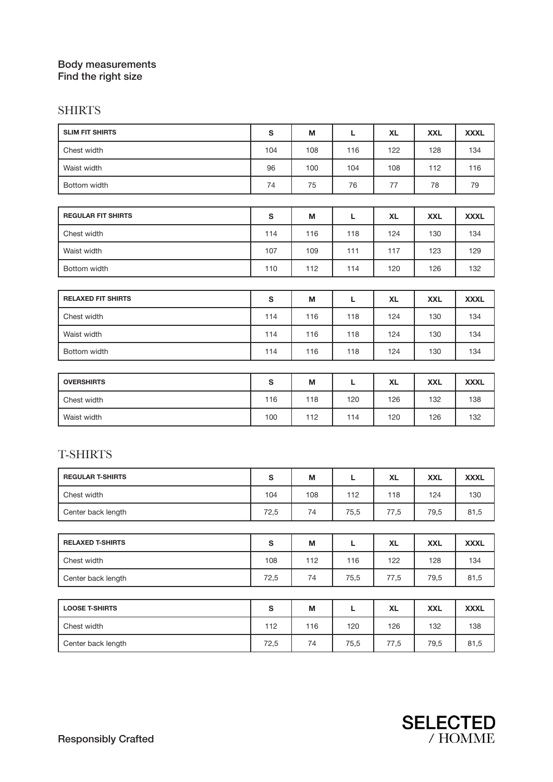## **SHIRTS**

| <b>SLIM FIT SHIRTS</b>    | S   | М   | L   | <b>XL</b> | <b>XXL</b> | <b>XXXL</b> |
|---------------------------|-----|-----|-----|-----------|------------|-------------|
| Chest width               | 104 | 108 | 116 | 122       | 128        | 134         |
| Waist width               | 96  | 100 | 104 | 108       | 112        | 116         |
| Bottom width              | 74  | 75  | 76  | 77        | 78         | 79          |
|                           |     |     |     |           |            |             |
| <b>REGULAR FIT SHIRTS</b> | S   | M   | L   | <b>XL</b> | <b>XXL</b> | <b>XXXL</b> |
| Chest width               | 114 | 116 | 118 | 124       | 130        | 134         |
| Waist width               | 107 | 109 | 111 | 117       | 123        | 129         |
| Bottom width              | 110 | 112 | 114 | 120       | 126        | 132         |
|                           |     |     |     |           |            |             |
| <b>RELAXED FIT SHIRTS</b> | S   | M   | L   | <b>XL</b> | <b>XXL</b> | <b>XXXL</b> |
| Chest width               | 114 | 116 | 118 | 124       | 130        | 134         |
| Waist width               | 114 | 116 | 118 | 124       | 130        | 134         |
| Bottom width              | 114 | 116 | 118 | 124       | 130        | 134         |
|                           |     |     |     |           |            |             |
| <b>OVERSHIRTS</b>         | S   | М   | L   | <b>XL</b> | <b>XXL</b> | <b>XXXL</b> |
| Chest width               | 116 | 118 | 120 | 126       | 132        | 138         |
| Waist width               | 100 | 112 | 114 | 120       | 126        | 132         |
|                           |     |     |     |           |            |             |
| <b>T-SHIRTS</b>           |     |     |     |           |            |             |
|                           |     |     |     |           |            |             |

| <b>REGULAR T-SHIRTS</b> | $\mathbf s$ | M   | L    | <b>XL</b> | <b>XXL</b> | <b>XXXL</b> |
|-------------------------|-------------|-----|------|-----------|------------|-------------|
| Chest width             | 104         | 108 | 112  | 118       | 124        | 130         |
| Center back length      | 72,5        | 74  | 75,5 | 77,5      | 79,5       | 81,5        |
|                         |             |     |      |           |            |             |
| <b>RELAXED T-SHIRTS</b> | S           | M   | L    | <b>XL</b> | <b>XXL</b> | <b>XXXL</b> |
| Chest width             | 108         | 112 | 116  | 122       | 128        | 134         |
| Center back length      | 72,5        | 74  | 75,5 | 77,5      | 79,5       | 81,5        |
|                         |             |     |      |           |            |             |
| <b>LOOSE T-SHIRTS</b>   | S           | M   | L    | <b>XL</b> | <b>XXL</b> | <b>XXXL</b> |
| Chest width             | 112         | 116 | 120  | 126       | 132        | 138         |
| Center back length      | 72,5        | 74  | 75,5 | 77,5      | 79,5       | 81,5        |